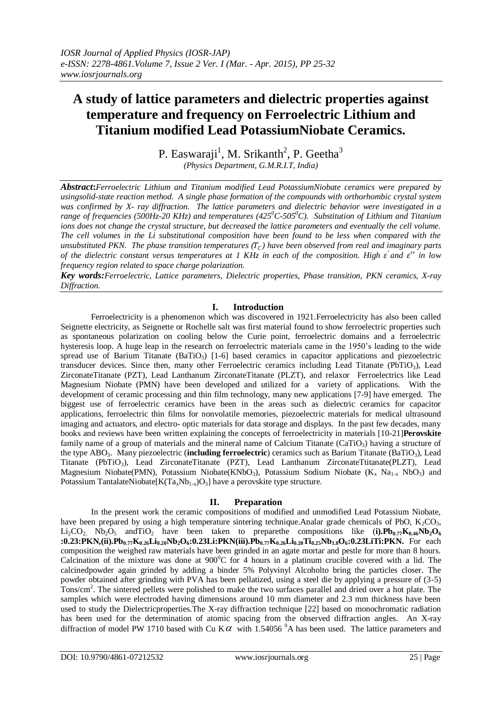# **A study of lattice parameters and dielectric properties against temperature and frequency on Ferroelectric Lithium and Titanium modified Lead PotassiumNiobate Ceramics.**

P. Easwaraji<sup>1</sup>, M. Srikanth<sup>2</sup>, P. Geetha<sup>3</sup> *(Physics Department, G.M.R.I.T, India)*

*Abstract***:***Ferroelectric Lithium and Titanium modified Lead PotassiumNiobate ceramics were prepared by usingsolid-state reaction method. A single phase formation of the compounds with orthorhombic crystal system was confirmed by X- ray diffraction. The lattice parameters and dielectric behavior were investigated in a range of frequencies (500Hz-20 KHz) and temperatures (425<sup>0</sup>C-505<sup>0</sup>C). Substitution of Lithium and Titanium*  ions does not change the crystal structure, but decreased the lattice parameters and eventually the cell volume. *The cell volumes in the Li substitutional composition have been found to be less when compared with the unsubstituted PKN. The phase transition temperatures (T<sub>C</sub>) have been observed from real and imaginary parts of the dielectric constant versus temperatures at 1 KHz in each of the composition. High*  $\varepsilon'$  *and*  $\varepsilon''$  *in low frequency region related to space charge polarization.*

*Key words:Ferroelectric, Lattice parameters, Dielectric properties, Phase transition, PKN ceramics, X-ray Diffraction.*

### **I. Introduction**

Ferroelectricity is a phenomenon which was discovered in 1921.Ferroelectricity has also been called Seignette electricity, as Seignette or Rochelle salt was first material found to show ferroelectric properties such as spontaneous polarization on cooling below the Curie point, ferroelectric domains and a ferroelectric hysteresis loop. A huge leap in the research on ferroelectric materials came in the 1950's leading to the wide spread use of Barium Titanate  $(BaTiO<sub>3</sub>)$  [1-6] based ceramics in capacitor applications and piezoelectric transducer devices. Since then, many other Ferroelectric ceramics including Lead Titanate (PbTiO<sub>3</sub>), Lead ZirconateTitanate (PZT), Lead Lanthanum ZirconateTitanate (PLZT), and relaxor Ferroelectrics like Lead Magnesium Niobate (PMN) have been developed and utilized for a variety of applications. With the development of ceramic processing and thin film technology, many new applications [7-9] have emerged. The biggest use of ferroelectric ceramics have been in the areas such as dielectric ceramics for capacitor applications, ferroelectric thin films for nonvolatile memories, piezoelectric materials for medical ultrasound imaging and actuators, and electro- optic materials for data storage and displays. In the past few decades, many books and reviews have been written explaining the concepts of ferroelectricity in materials [10-21]**Perovskite** family name of a group of materials and the mineral name of Calcium Titanate (CaTiO<sub>3</sub>) having a structure of the type ABO3. Many piezoelectric (**including ferroelectric**) ceramics such as Barium Titanate (BaTiO3), Lead Titanate (PbTiO3), Lead ZirconateTitanate (PZT), Lead Lanthanum ZirconateTtitanate(PLZT), Lead Magnesium Niobate(PMN), Potassium Niobate(KNbO<sub>3</sub>), Potassium Sodium Niobate (K<sub>x</sub> Na<sub>1-x</sub> NbO<sub>3</sub>) and Potassium TantalateNiobate $[K(Ta_xNb_{1-x})O_3]$  have a perovskite type structure.

### **II. Preparation**

In the present work the ceramic compositions of modified and unmodified Lead Potassium Niobate, have been prepared by using a high temperature sintering technique. Analar grade chemicals of PbO,  $K_2CO_3$ , Li<sub>2</sub>CO<sub>2</sub>, Nb<sub>2</sub>O<sub>5</sub> and TiO<sub>2</sub> have been taken to preparethe compositions like (**i**). Pb<sub>0.77</sub> $K_{0.46}$ Nb<sub>2</sub>O<sub>6</sub> :0.23:PKN,(ii).Pb<sub>0.77</sub>K<sub>0.26</sub>Li<sub>0.20</sub>Nb<sub>2</sub>O<sub>6</sub>:0.23Li:PKN(iii).Pb<sub>0.77</sub>K<sub>0.26</sub>Li<sub>0.20</sub>Ti<sub>0.25</sub>Nb<sub>1.8</sub>O<sub>6</sub>:0.23LiTi:PKN. For each composition the weighed raw materials have been grinded in an agate mortar and pestle for more than 8 hours. Calcination of the mixture was done at  $900^{\circ}$ C for 4 hours in a platinum crucible covered with a lid. The calcinedpowder again grinded by adding a binder 5% Polyvinyl Alcoholto bring the particles closer. The powder obtained after grinding with PVA has been pellatized, using a steel die by applying a pressure of (3-5) Tons/cm<sup>2</sup>. The sintered pellets were polished to make the two surfaces parallel and dried over a hot plate. The samples which were electroded having dimensions around 10 mm diameter and 2.3 mm thickness have been used to study the Dielectricproperties.The X-ray diffraction technique [22] based on monochromatic radiation has been used for the determination of atomic spacing from the observed diffraction angles. An X-ray diffraction of model PW 1710 based with Cu K $\alpha$  with 1.54056  $^{0}$ A has been used. The lattice parameters and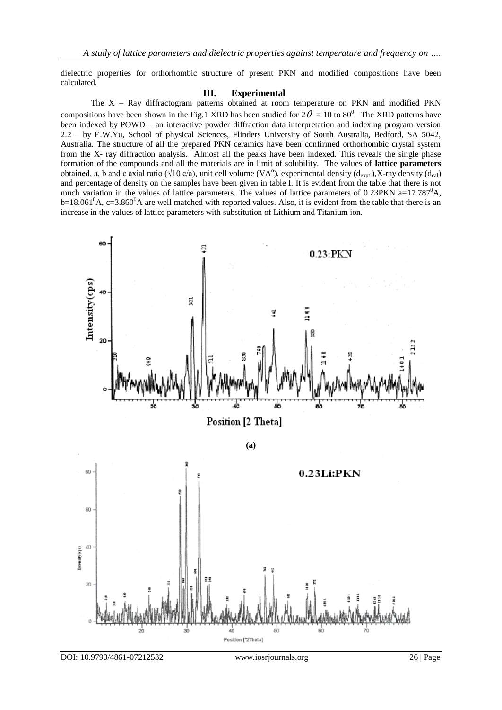dielectric properties for orthorhombic structure of present PKN and modified compositions have been calculated.

#### **III. Experimental**

The X – Ray diffractogram patterns obtained at room temperature on PKN and modified PKN compositions have been shown in the Fig.1 XRD has been studied for  $2\theta = 10$  to 80<sup>0</sup>. The XRD patterns have been indexed by POWD – an interactive powder diffraction data interpretation and indexing program version 2.2 – by E.W.Yu, School of physical Sciences, Flinders University of South Australia, Bedford, SA 5042, Australia. The structure of all the prepared PKN ceramics have been confirmed orthorhombic crystal system from the X- ray diffraction analysis. Almost all the peaks have been indexed. This reveals the single phase formation of the compounds and all the materials are in limit of solubility. The values of **lattice parameters** obtained, a, b and c axial ratio ( $\sqrt{10}$  c/a), unit cell volume (VA<sup>o</sup>), experimental density (d<sub>exptl</sub>),X-ray density (d<sub>cal</sub>) and percentage of density on the samples have been given in table I. It is evident from the table that there is not much variation in the values of lattice parameters. The values of lattice parameters of 0.23PKN a=17.787<sup>0</sup>A,  $b=18.061^0$ A, c=3.860<sup>0</sup>A are well matched with reported values. Also, it is evident from the table that there is an increase in the values of lattice parameters with substitution of Lithium and Titanium ion.

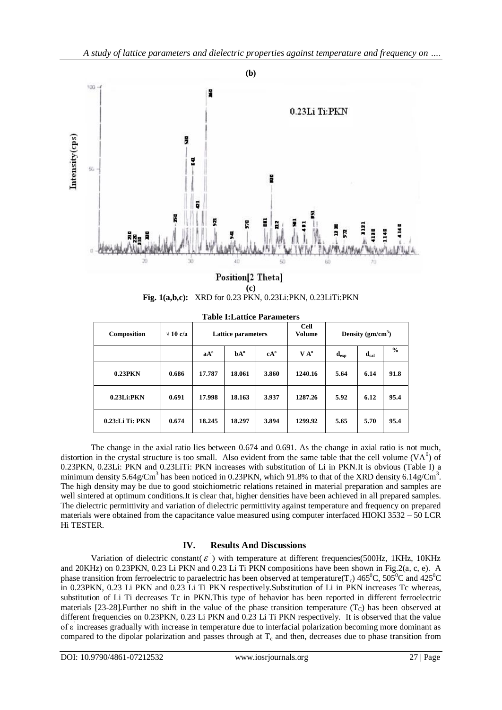

#### Position[2 Theta] **(c) Fig. 1(a,b,c):** XRD for 0.23 PKN, 0.23Li:PKN, 0.23LiTi:PKN

| Composition     | $\sqrt{10}$ c/a | <b>Lattice parameters</b> |        |        | <b>Cell</b><br>Volume | Density $(gm/cm3)$        |                           |               |
|-----------------|-----------------|---------------------------|--------|--------|-----------------------|---------------------------|---------------------------|---------------|
|                 |                 | $aA^o$                    | $hA^0$ | $cA^o$ | $V A^{\circ}$         | $\mathbf{d}_{\text{exp}}$ | $\mathbf{d}_{\text{cal}}$ | $\frac{0}{0}$ |
| $0.23$ PKN      | 0.686           | 17.787                    | 18.061 | 3.860  | 1240.16               | 5.64                      | 6.14                      | 91.8          |
| $0.23$ Li:PKN   | 0.691           | 17.998                    | 18.163 | 3.937  | 1287.26               | 5.92                      | 6.12                      | 95.4          |
| 0.23:Li Ti: PKN | 0.674           | 18.245                    | 18.297 | 3.894  | 1299.92               | 5.65                      | 5.70                      | 95.4          |

**Table I:Lattice Parameters**

The change in the axial ratio lies between 0.674 and 0.691. As the change in axial ratio is not much, distortion in the crystal structure is too small. Also evident from the same table that the cell volume  $(VA<sup>0</sup>)$  of 0.23PKN, 0.23Li: PKN and 0.23LiTi: PKN increases with substitution of Li in PKN.It is obvious (Table I) a minimum density  $5.64g/Cm<sup>3</sup>$  has been noticed in 0.23PKN, which 91.8% to that of the XRD density 6.14g/Cm<sup>3</sup>. The high density may be due to good stoichiometric relations retained in material preparation and samples are well sintered at optimum conditions.It is clear that, higher densities have been achieved in all prepared samples. The dielectric permittivity and variation of dielectric permittivity against temperature and frequency on prepared materials were obtained from the capacitance value measured using computer interfaced HIOKI 3532 – 50 LCR Hi TESTER.

## **IV. Results And Discussions**

Variation of dielectric constant( $\varepsilon$ ) with temperature at different frequencies(500Hz, 1KHz, 10KHz and 20KHz) on 0.23PKN, 0.23 Li PKN and 0.23 Li Ti PKN compositions have been shown in Fig.2(a, c, e). A phase transition from ferroelectric to paraelectric has been observed at temperature( $T_c$ ) 465<sup>0</sup>C, 505<sup>0</sup>C and 425<sup>0</sup>C in 0.23PKN, 0.23 Li PKN and 0.23 Li Ti PKN respectively.Substitution of Li in PKN increases Tc whereas, substitution of Li Ti decreases Tc in PKN.This type of behavior has been reported in different ferroelectric materials [23-28]. Further no shift in the value of the phase transition temperature  $(T<sub>C</sub>)$  has been observed at different frequencies on 0.23PKN, 0.23 Li PKN and 0.23 Li Ti PKN respectively. It is observed that the value of ε′ increases gradually with increase in temperature due to interfacial polarization becoming more dominant as compared to the dipolar polarization and passes through at  $T_c$  and then, decreases due to phase transition from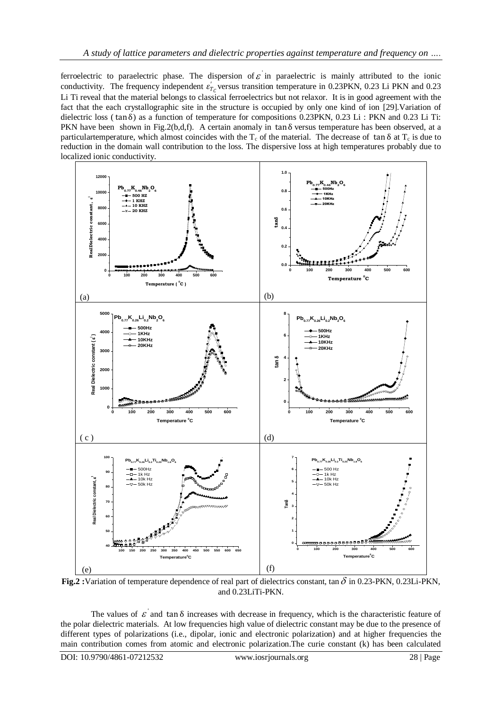ferroelectric to paraelectric phase. The dispersion of  $\varepsilon$  in paraelectric is mainly attributed to the ionic conductivity. The frequency independent  $\varepsilon'_{T_c}$  versus transition temperature in 0.23PKN, 0.23 Li PKN and 0.23 Li Ti reveal that the material belongs to classical ferroelectrics but not relaxor. It is in good agreement with the fact that the each crystallographic site in the structure is occupied by only one kind of ion [29].Variation of dielectric loss ( tanδ) as a function of temperature for compositions 0.23PKN, 0.23 Li : PKN and 0.23 Li Ti: PKN have been shown in Fig.2(b,d,f). A certain anomaly in  $\tan \delta$  versus temperature has been observed, at a particulartemperature, which almost coincides with the  $T_c$  of the material. The decrease of tan  $\delta$  at  $T_c$  is due to reduction in the domain wall contribution to the loss. The dispersive loss at high temperatures probably due to localized ionic conductivity.



**Fig.2**: Variation of temperature dependence of real part of dielectrics constant, tan  $\delta$  in 0.23-PKN, 0.23Li-PKN, and 0.23LiTi-PKN.

The values of  $\varepsilon$  and tan  $\delta$  increases with decrease in frequency, which is the characteristic feature of the polar dielectric materials. At low frequencies high value of dielectric constant may be due to the presence of different types of polarizations (i.e., dipolar, ionic and electronic polarization) and at higher frequencies the main contribution comes from atomic and electronic polarization.The curie constant (k) has been calculated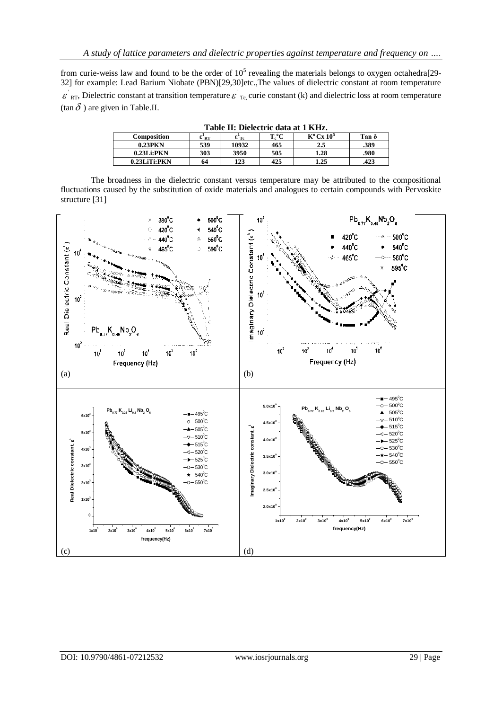from curie-weiss law and found to be the order of  $10<sup>5</sup>$  revealing the materials belongs to oxygen octahedra[29-32] for example: Lead Barium Niobate (PBN)[29,30]etc.,The values of dielectric constant at room temperature  $\mathcal{E}_{RT}$ , Dielectric constant at transition temperature  $\mathcal{E}_{TC}$  curie constant (k) and dielectric loss at room temperature  $(\tan \delta)$  are given in Table.II.

| Tadie II: Dielectric data at 1 KHZ. |     |                |          |                                |       |  |  |  |  |
|-------------------------------------|-----|----------------|----------|--------------------------------|-------|--|--|--|--|
| Composition                         | εRΤ | $\epsilon$ Tc. | $T_c$ °C | $K^{\circ}$ Cx 10 <sup>5</sup> | Tan δ |  |  |  |  |
| $0.23$ PKN                          | 539 | 10932          | 465      | 2.5                            | .389  |  |  |  |  |
| $0.23$ Li:PKN                       | 303 | 3950           | 505      | 1.28                           | .980  |  |  |  |  |
| $0.23$ Li $Ti:$ PKN                 | 64  | 123            | 425      | 1.25                           | .423  |  |  |  |  |

**Table II: Dielectric data at 1 KHz.**

The broadness in the dielectric constant versus temperature may be attributed to the compositional fluctuations caused by the substitution of oxide materials and analogues to certain compounds with Pervoskite structure [31]

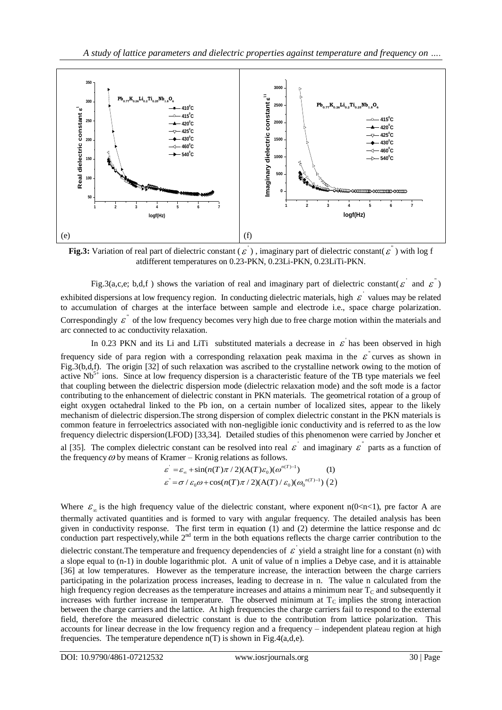

**Fig.3:** Variation of real part of dielectric constant ( $\varepsilon$ ), imaginary part of dielectric constant( $\varepsilon$ <sup>"</sup>) with log f atdifferent temperatures on 0.23-PKN, 0.23Li-PKN, 0.23LiTi-PKN.

Fig.3(a,c,e; b,d,f) shows the variation of real and imaginary part of dielectric constant( $\varepsilon$  and  $\varepsilon$ ) exhibited dispersions at low frequency region. In conducting dielectric materials, high  $\epsilon$  values may be related to accumulation of charges at the interface between sample and electrode i.e., space charge polarization. Correspondingly  $\varepsilon$ <sup>"</sup> of the low frequency becomes very high due to free charge motion within the materials and arc connected to ac conductivity relaxation.

In 0.23 PKN and its Li and LiTi substituted materials a decrease in  $\epsilon$  has been observed in high frequency side of para region with a corresponding relaxation peak maxima in the  $\varepsilon$  curves as shown in Fig.3(b,d,f). The origin [32] of such relaxation was ascribed to the crystalline network owing to the motion of active  $Nb<sup>5+</sup>$  ions. Since at low frequency dispersion is a characteristic feature of the TB type materials we feel that coupling between the dielectric dispersion mode (dielectric relaxation mode) and the soft mode is a factor contributing to the enhancement of dielectric constant in PKN materials. The geometrical rotation of a group of eight oxygen octahedral linked to the Pb ion, on a certain number of localized sites, appear to the likely mechanism of dielectric dispersion.The strong dispersion of complex dielectric constant in the PKN materials is common feature in ferroelectrics associated with non-negligible ionic conductivity and is referred to as the low frequency dielectric dispersion(LFOD) [33,34]. Detailed studies of this phenomenon were carried by Joncher et al [35]. The complex dielectric constant can be resolved into real  $\varepsilon$  and imaginary  $\varepsilon$  parts as a function of

the frequency  $\omega$  by means of Kramer – Kronig relations as follows.<br>  $\varepsilon' = \varepsilon_{\infty} + \sin(n(T)\pi/2)(A(T)\varepsilon_0)(\omega^{n(T)-1})$  (1)

$$
\varepsilon = \varepsilon_{\infty} + \sin(n(T)\pi/2)(A(T)\varepsilon_0)(\omega^{n(T)-1})
$$
 (1)  

$$
\varepsilon = \sigma/\varepsilon_0 \omega + \cos(n(T)\pi/2)(A(T)/\varepsilon_0)(\omega_0^{n(T)-1})
$$
 (2)

Where  $\varepsilon_{\infty}$  is the high frequency value of the dielectric constant, where exponent n(0<n<1), pre factor A are thermally activated quantities and is formed to vary with angular frequency. The detailed analysis has been given in conductivity response. The first term in equation (1) and (2) determine the lattice response and dc conduction part respectively, while 2<sup>nd</sup> term in the both equations reflects the charge carrier contribution to the dielectric constant. The temperature and frequency dependencies of  $\epsilon$  yield a straight line for a constant (n) with a slope equal to (n-1) in double logarithmic plot. A unit of value of n implies a Debye case, and it is attainable [36] at low temperatures. However as the temperature increase, the interaction between the charge carriers participating in the polarization process increases, leading to decrease in n. The value n calculated from the high frequency region decreases as the temperature increases and attains a minimum near  $T_c$  and subsequently it increases with further increase in temperature. The observed minimum at  $T_c$  implies the strong interaction between the charge carriers and the lattice. At high frequencies the charge carriers fail to respond to the external field, therefore the measured dielectric constant is due to the contribution from lattice polarization. This accounts for linear decrease in the low frequency region and a frequency – independent plateau region at high frequencies. The temperature dependence  $n(T)$  is shown in Fig.4(a,d,e).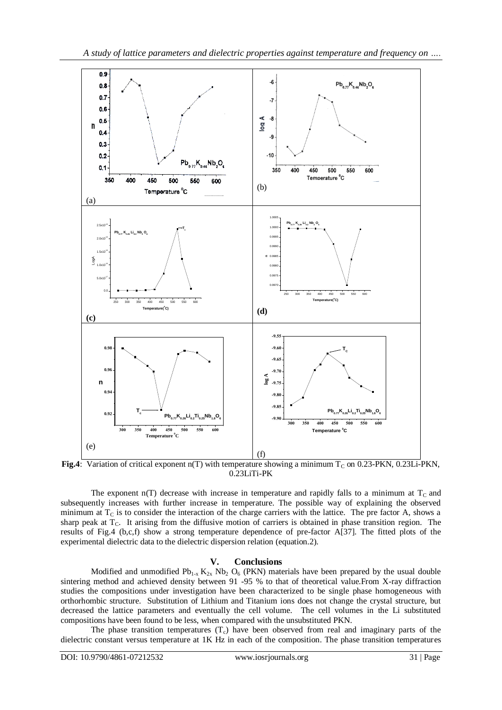

Fig.4: Variation of critical exponent n(T) with temperature showing a minimum T<sub>C</sub> on 0.23-PKN, 0.23Li-PKN, 0.23LiTi-PK

The exponent  $n(T)$  decrease with increase in temperature and rapidly falls to a minimum at  $T_c$  and subsequently increases with further increase in temperature. The possible way of explaining the observed minimum at  $T_c$  is to consider the interaction of the charge carriers with the lattice. The pre factor A, shows a sharp peak at  $T_c$ . It arising from the diffusive motion of carriers is obtained in phase transition region. The results of Fig.4 (b,c,f) show a strong temperature dependence of pre-factor A[37]. The fitted plots of the experimental dielectric data to the dielectric dispersion relation (equation.2).

### **V. Conclusions**

Modified and unmodified  $Pb_{1-x} K_{2x} Nb_2 O_6$  (PKN) materials have been prepared by the usual double sintering method and achieved density between 91 -95 % to that of theoretical value.From X-ray diffraction studies the compositions under investigation have been characterized to be single phase homogeneous with orthorhombic structure. Substitution of Lithium and Titanium ions does not change the crystal structure, but decreased the lattice parameters and eventually the cell volume. The cell volumes in the Li substituted compositions have been found to be less, when compared with the unsubstituted PKN.

The phase transition temperatures  $(T_c)$  have been observed from real and imaginary parts of the dielectric constant versus temperature at 1K Hz in each of the composition. The phase transition temperatures